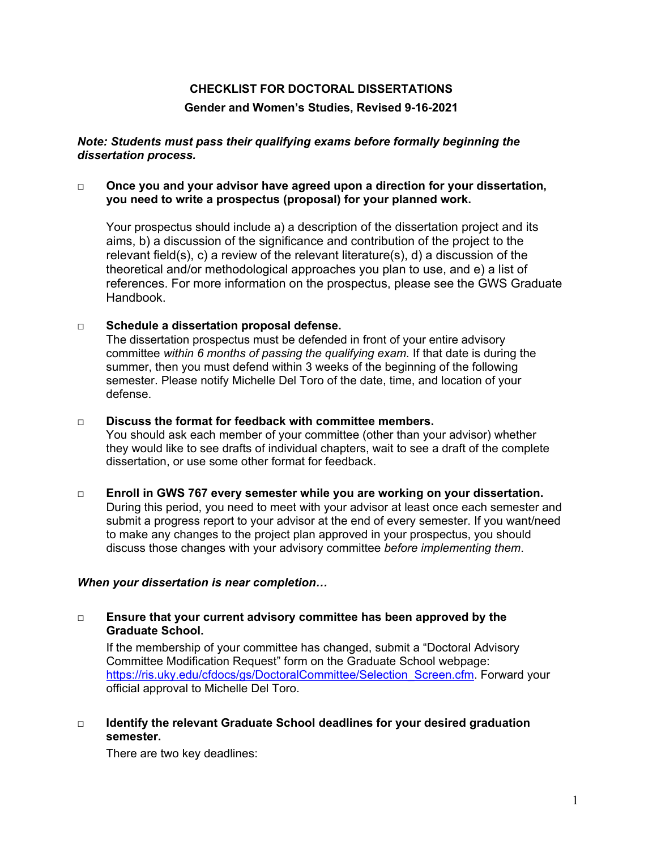# **CHECKLIST FOR DOCTORAL DISSERTATIONS**

# **Gender and Women's Studies, Revised 9-16-2021**

### *Note: Students must pass their qualifying exams before formally beginning the dissertation process.*

# □ **Once you and your advisor have agreed upon a direction for your dissertation, you need to write a prospectus (proposal) for your planned work.**

Your prospectus should include a) a description of the dissertation project and its aims, b) a discussion of the significance and contribution of the project to the relevant field(s), c) a review of the relevant literature(s), d) a discussion of the theoretical and/or methodological approaches you plan to use, and e) a list of references. For more information on the prospectus, please see the GWS Graduate Handbook.

# **□ Schedule a dissertation proposal defense.**

The dissertation prospectus must be defended in front of your entire advisory committee *within 6 months of passing the qualifying exam.* If that date is during the summer, then you must defend within 3 weeks of the beginning of the following semester. Please notify Michelle Del Toro of the date, time, and location of your defense.

## □ **Discuss the format for feedback with committee members.**

You should ask each member of your committee (other than your advisor) whether they would like to see drafts of individual chapters, wait to see a draft of the complete dissertation, or use some other format for feedback.

#### **□ Enroll in GWS 767 every semester while you are working on your dissertation.** During this period, you need to meet with your advisor at least once each semester and submit a progress report to your advisor at the end of every semester. If you want/need to make any changes to the project plan approved in your prospectus, you should discuss those changes with your advisory committee *before implementing them*.

# *When your dissertation is near completion…*

#### □ **Ensure that your current advisory committee has been approved by the Graduate School.**

If the membership of your committee has changed, submit a "Doctoral Advisory Committee Modification Request" form on the Graduate School webpage: [https://ris.uky.edu/cfdocs/gs/DoctoralCommittee/Selection\\_Screen.cfm.](https://ris.uky.edu/cfdocs/gs/DoctoralCommittee/Selection_Screen.cfm) Forward your official approval to Michelle Del Toro.

# □ **Identify the relevant Graduate School deadlines for your desired graduation semester.**

There are two key deadlines: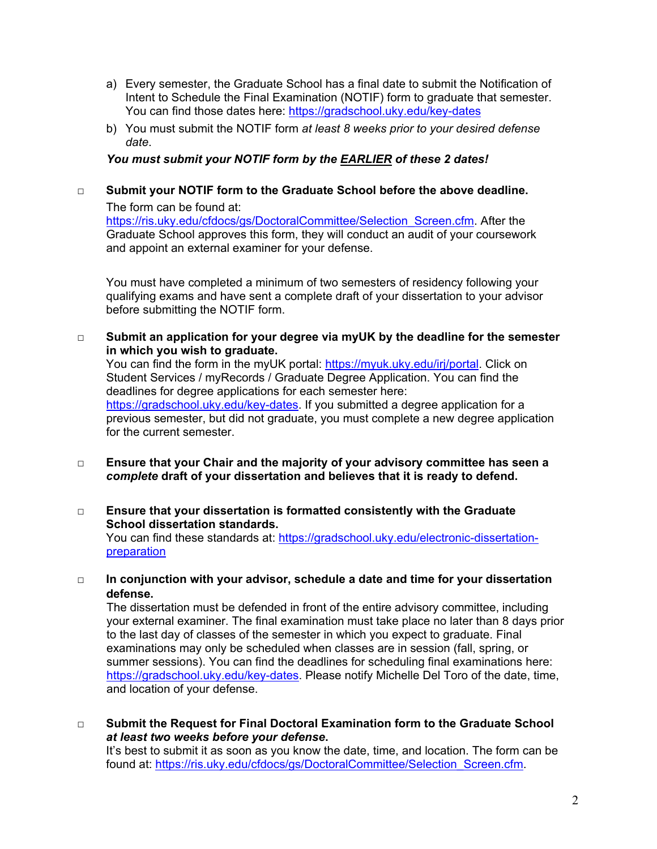- a) Every semester, the Graduate School has a final date to submit the Notification of Intent to Schedule the Final Examination (NOTIF) form to graduate that semester. You can find those dates here:<https://gradschool.uky.edu/key-dates>
- b) You must submit the NOTIF form *at least 8 weeks prior to your desired defense date*.

# *You must submit your NOTIF form by the EARLIER of these 2 dates!*

# □ **Submit your NOTIF form to the Graduate School before the above deadline.**

The form can be found at: [https://ris.uky.edu/cfdocs/gs/DoctoralCommittee/Selection\\_Screen.cfm.](https://ris.uky.edu/cfdocs/gs/DoctoralCommittee/Selection_Screen.cfm) After the Graduate School approves this form, they will conduct an audit of your coursework and appoint an external examiner for your defense.

You must have completed a minimum of two semesters of residency following your qualifying exams and have sent a complete draft of your dissertation to your advisor before submitting the NOTIF form.

□ **Submit an application for your degree via myUK by the deadline for the semester in which you wish to graduate.**

You can find the form in the myUK portal: [https://myuk.uky.edu/irj/portal.](https://myuk.uky.edu/irj/portal) Click on Student Services / myRecords / Graduate Degree Application. You can find the deadlines for degree applications for each semester here: [https://gradschool.uky.edu/key-dates.](https://gradschool.uky.edu/key-dates) If you submitted a degree application for a previous semester, but did not graduate, you must complete a new degree application for the current semester.

- □ **Ensure that your Chair and the majority of your advisory committee has seen a**  *complete* **draft of your dissertation and believes that it is ready to defend.**
- □ **Ensure that your dissertation is formatted consistently with the Graduate School dissertation standards.**

You can find these standards at: [https://gradschool.uky.edu/electronic-dissertation](https://gradschool.uky.edu/electronic-dissertation-preparation)[preparation](https://gradschool.uky.edu/electronic-dissertation-preparation)

**□ In conjunction with your advisor, schedule a date and time for your dissertation defense.**

The dissertation must be defended in front of the entire advisory committee, including your external examiner. The final examination must take place no later than 8 days prior to the last day of classes of the semester in which you expect to graduate. Final examinations may only be scheduled when classes are in session (fall, spring, or summer sessions). You can find the deadlines for scheduling final examinations here: [https://gradschool.uky.edu/key-dates.](https://gradschool.uky.edu/key-dates) Please notify Michelle Del Toro of the date, time, and location of your defense.

□ **Submit the Request for Final Doctoral Examination form to the Graduate School**  *at least two weeks before your defense***.**

It's best to submit it as soon as you know the date, time, and location. The form can be found at: [https://ris.uky.edu/cfdocs/gs/DoctoralCommittee/Selection\\_Screen.cfm.](https://ris.uky.edu/cfdocs/gs/DoctoralCommittee/Selection_Screen.cfm)